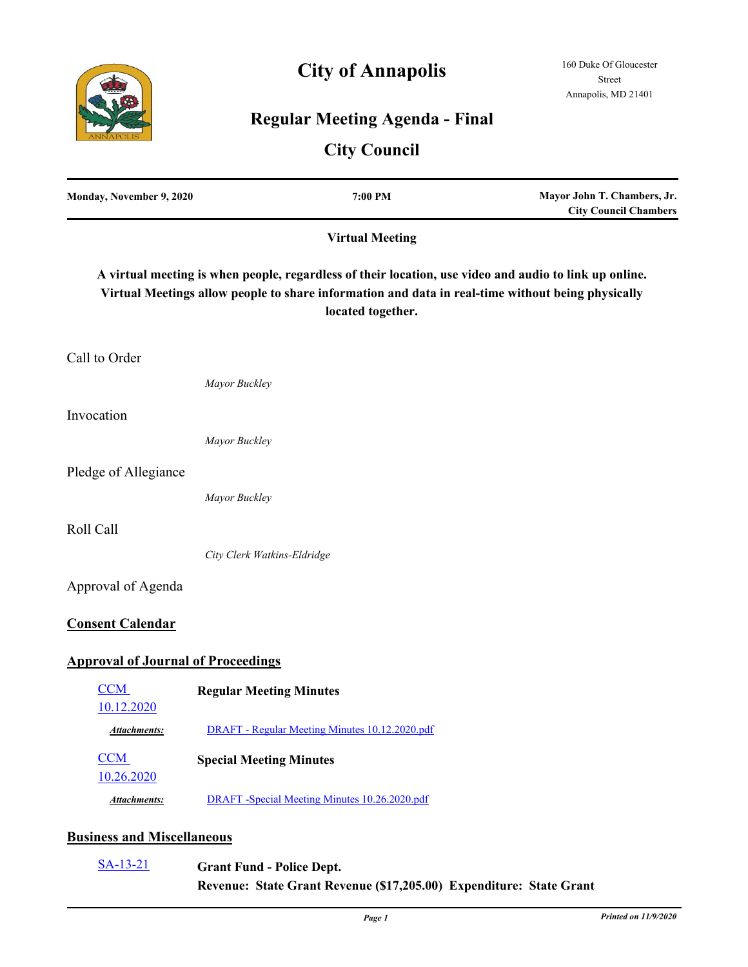# **City of Annapolis**



## **Regular Meeting Agenda - Final**

### **City Council**

| Monday, November 9, 2020                  | 7:00 PM                                                                                                                                                                                                                          | Mayor John T. Chambers, Jr.<br><b>City Council Chambers</b> |
|-------------------------------------------|----------------------------------------------------------------------------------------------------------------------------------------------------------------------------------------------------------------------------------|-------------------------------------------------------------|
|                                           | <b>Virtual Meeting</b>                                                                                                                                                                                                           |                                                             |
|                                           | A virtual meeting is when people, regardless of their location, use video and audio to link up online.<br>Virtual Meetings allow people to share information and data in real-time without being physically<br>located together. |                                                             |
| Call to Order                             |                                                                                                                                                                                                                                  |                                                             |
|                                           | Mayor Buckley                                                                                                                                                                                                                    |                                                             |
| Invocation                                |                                                                                                                                                                                                                                  |                                                             |
|                                           | Mayor Buckley                                                                                                                                                                                                                    |                                                             |
| Pledge of Allegiance                      |                                                                                                                                                                                                                                  |                                                             |
|                                           | Mayor Buckley                                                                                                                                                                                                                    |                                                             |
| Roll Call                                 |                                                                                                                                                                                                                                  |                                                             |
|                                           | City Clerk Watkins-Eldridge                                                                                                                                                                                                      |                                                             |
| Approval of Agenda                        |                                                                                                                                                                                                                                  |                                                             |
| <b>Consent Calendar</b>                   |                                                                                                                                                                                                                                  |                                                             |
| <b>Approval of Journal of Proceedings</b> |                                                                                                                                                                                                                                  |                                                             |
| CCM<br>10.12.2020                         | <b>Regular Meeting Minutes</b>                                                                                                                                                                                                   |                                                             |
| <b>Attachments:</b>                       | DRAFT - Regular Meeting Minutes 10.12.2020.pdf                                                                                                                                                                                   |                                                             |
| <b>CCM</b>                                | <b>Special Meeting Minutes</b>                                                                                                                                                                                                   |                                                             |
| 10.26.2020<br><b>Attachments:</b>         | DRAFT -Special Meeting Minutes 10.26.2020.pdf                                                                                                                                                                                    |                                                             |
| <b>Business and Miscellaneous</b>         |                                                                                                                                                                                                                                  |                                                             |

**Grant Fund - Police Dept. Revenue: State Grant Revenue (\$17,205.00) Expenditure: State Grant**  [SA-13-21](http://annapolismd.legistar.com/gateway.aspx?m=l&id=/matter.aspx?key=5010)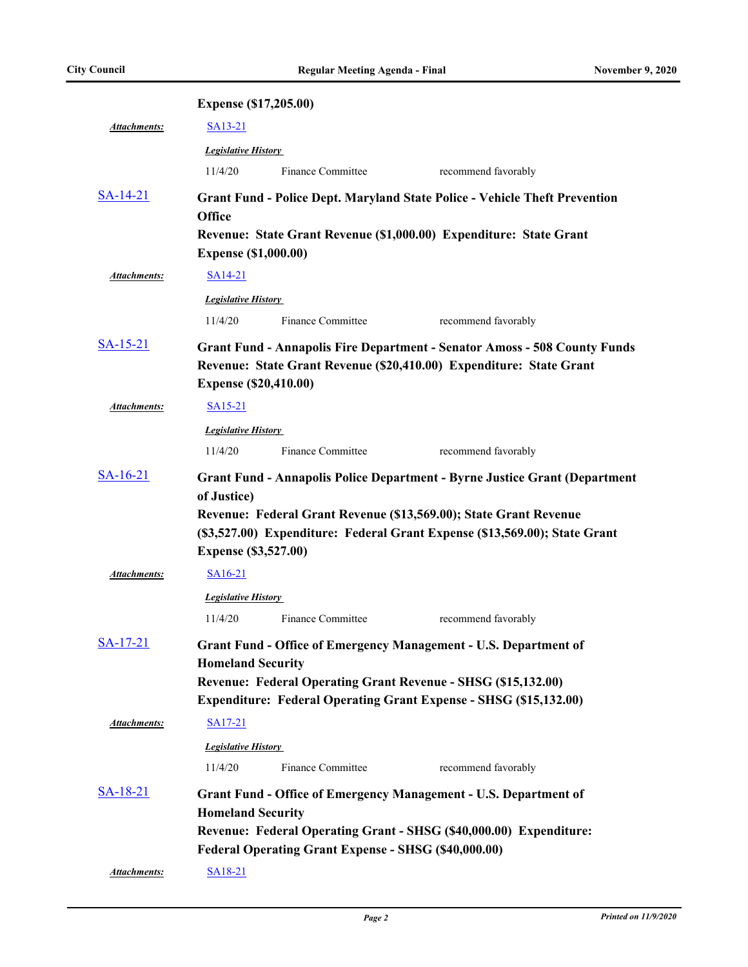|                     | <b>Expense (\$17,205.00)</b>               |                                                             |                                                                                                                                                                                                                                      |  |
|---------------------|--------------------------------------------|-------------------------------------------------------------|--------------------------------------------------------------------------------------------------------------------------------------------------------------------------------------------------------------------------------------|--|
| Attachments:        | SA13-21                                    |                                                             |                                                                                                                                                                                                                                      |  |
|                     | <b>Legislative History</b>                 |                                                             |                                                                                                                                                                                                                                      |  |
|                     | 11/4/20                                    | Finance Committee                                           | recommend favorably                                                                                                                                                                                                                  |  |
| $S_A-14-21$         | <b>Office</b>                              |                                                             | <b>Grant Fund - Police Dept. Maryland State Police - Vehicle Theft Prevention</b><br>Revenue: State Grant Revenue (\$1,000.00) Expenditure: State Grant                                                                              |  |
|                     | <b>Expense (\$1,000.00)</b>                |                                                             |                                                                                                                                                                                                                                      |  |
| <b>Attachments:</b> | SA14-21                                    |                                                             |                                                                                                                                                                                                                                      |  |
|                     | <b>Legislative History</b>                 |                                                             |                                                                                                                                                                                                                                      |  |
|                     | 11/4/20                                    | <b>Finance Committee</b>                                    | recommend favorably                                                                                                                                                                                                                  |  |
| $SA-15-21$          | <b>Expense (\$20,410.00)</b>               |                                                             | <b>Grant Fund - Annapolis Fire Department - Senator Amoss - 508 County Funds</b><br>Revenue: State Grant Revenue (\$20,410.00) Expenditure: State Grant                                                                              |  |
| <b>Attachments:</b> | SA15-21                                    |                                                             |                                                                                                                                                                                                                                      |  |
|                     | <b>Legislative History</b>                 |                                                             |                                                                                                                                                                                                                                      |  |
|                     | 11/4/20                                    | Finance Committee                                           | recommend favorably                                                                                                                                                                                                                  |  |
| $SA-16-21$          | of Justice)<br><b>Expense (\$3,527.00)</b> |                                                             | <b>Grant Fund - Annapolis Police Department - Byrne Justice Grant (Department</b><br>Revenue: Federal Grant Revenue (\$13,569.00); State Grant Revenue<br>(\$3,527.00) Expenditure: Federal Grant Expense (\$13,569.00); State Grant |  |
| Attachments:        | $SA16-21$                                  |                                                             |                                                                                                                                                                                                                                      |  |
|                     | <b>Legislative History</b>                 |                                                             |                                                                                                                                                                                                                                      |  |
|                     | 11/4/20                                    | Finance Committee                                           | recommend favorably                                                                                                                                                                                                                  |  |
| $SA-17-21$          | <b>Homeland Security</b>                   |                                                             | Grant Fund - Office of Emergency Management - U.S. Department of<br>Revenue: Federal Operating Grant Revenue - SHSG (\$15,132.00)<br><b>Expenditure: Federal Operating Grant Expense - SHSG (\$15,132.00)</b>                        |  |
| Attachments:        | SA17-21                                    |                                                             |                                                                                                                                                                                                                                      |  |
|                     | <b>Legislative History</b><br>11/4/20      | Finance Committee                                           | recommend favorably                                                                                                                                                                                                                  |  |
| $SA-18-21$          | <b>Homeland Security</b>                   | <b>Federal Operating Grant Expense - SHSG (\$40,000.00)</b> | <b>Grant Fund - Office of Emergency Management - U.S. Department of</b><br>Revenue: Federal Operating Grant - SHSG (\$40,000.00) Expenditure:                                                                                        |  |
| Attachments:        | SA <sub>18</sub> -21                       |                                                             |                                                                                                                                                                                                                                      |  |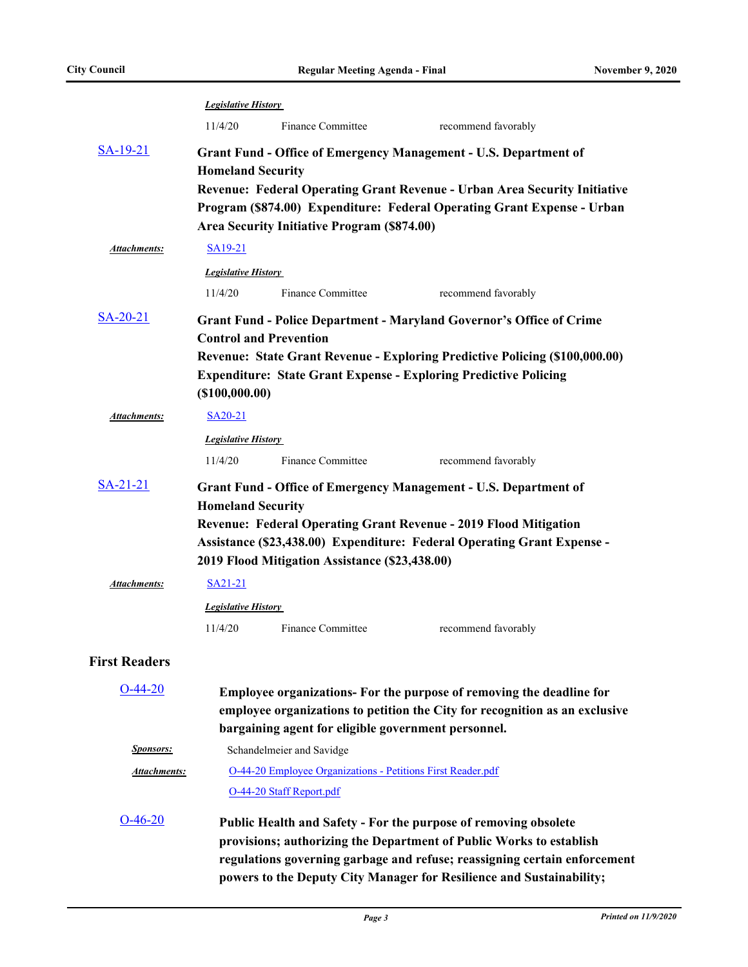|                      | <b>Legislative History</b>                                                                                                                                                       |                                                                                         |                                                                                                                                                                                                                                                                                             |  |
|----------------------|----------------------------------------------------------------------------------------------------------------------------------------------------------------------------------|-----------------------------------------------------------------------------------------|---------------------------------------------------------------------------------------------------------------------------------------------------------------------------------------------------------------------------------------------------------------------------------------------|--|
|                      | 11/4/20                                                                                                                                                                          | Finance Committee                                                                       | recommend favorably                                                                                                                                                                                                                                                                         |  |
| <u>SA-19-21</u>      | Grant Fund - Office of Emergency Management - U.S. Department of<br><b>Homeland Security</b><br><b>Revenue: Federal Operating Grant Revenue - Urban Area Security Initiative</b> |                                                                                         |                                                                                                                                                                                                                                                                                             |  |
|                      |                                                                                                                                                                                  | <b>Area Security Initiative Program (\$874.00)</b>                                      | Program (\$874.00) Expenditure: Federal Operating Grant Expense - Urban                                                                                                                                                                                                                     |  |
| <b>Attachments:</b>  | SA <sub>19</sub> -21                                                                                                                                                             |                                                                                         |                                                                                                                                                                                                                                                                                             |  |
|                      | <b>Legislative History</b>                                                                                                                                                       |                                                                                         |                                                                                                                                                                                                                                                                                             |  |
|                      | 11/4/20                                                                                                                                                                          | <b>Finance Committee</b>                                                                | recommend favorably                                                                                                                                                                                                                                                                         |  |
| $SA-20-21$           | <b>Control and Prevention</b>                                                                                                                                                    |                                                                                         | <b>Grant Fund - Police Department - Maryland Governor's Office of Crime</b>                                                                                                                                                                                                                 |  |
|                      | $($ \$100,000.00)                                                                                                                                                                |                                                                                         | Revenue: State Grant Revenue - Exploring Predictive Policing (\$100,000.00)<br><b>Expenditure: State Grant Expense - Exploring Predictive Policing</b>                                                                                                                                      |  |
| <b>Attachments:</b>  | SA20-21                                                                                                                                                                          |                                                                                         |                                                                                                                                                                                                                                                                                             |  |
|                      | <b>Legislative History</b>                                                                                                                                                       |                                                                                         |                                                                                                                                                                                                                                                                                             |  |
|                      | 11/4/20                                                                                                                                                                          | <b>Finance Committee</b>                                                                | recommend favorably                                                                                                                                                                                                                                                                         |  |
| $S_A - 21 - 21$      | <b>Homeland Security</b>                                                                                                                                                         |                                                                                         | <b>Grant Fund - Office of Emergency Management - U.S. Department of</b><br>Revenue: Federal Operating Grant Revenue - 2019 Flood Mitigation<br>Assistance (\$23,438.00) Expenditure: Federal Operating Grant Expense -                                                                      |  |
|                      |                                                                                                                                                                                  | 2019 Flood Mitigation Assistance (\$23,438.00)                                          |                                                                                                                                                                                                                                                                                             |  |
| Attachments:         | SA21-21                                                                                                                                                                          |                                                                                         |                                                                                                                                                                                                                                                                                             |  |
|                      | <b>Legislative History</b>                                                                                                                                                       |                                                                                         |                                                                                                                                                                                                                                                                                             |  |
|                      | 11/4/20                                                                                                                                                                          | <b>Finance Committee</b>                                                                | recommend favorably                                                                                                                                                                                                                                                                         |  |
| <b>First Readers</b> |                                                                                                                                                                                  |                                                                                         |                                                                                                                                                                                                                                                                                             |  |
| $O-44-20$            |                                                                                                                                                                                  | bargaining agent for eligible government personnel.                                     | Employee organizations- For the purpose of removing the deadline for<br>employee organizations to petition the City for recognition as an exclusive                                                                                                                                         |  |
| <b>Sponsors:</b>     |                                                                                                                                                                                  | Schandelmeier and Savidge                                                               |                                                                                                                                                                                                                                                                                             |  |
| <b>Attachments:</b>  |                                                                                                                                                                                  | O-44-20 Employee Organizations - Petitions First Reader.pdf<br>O-44-20 Staff Report.pdf |                                                                                                                                                                                                                                                                                             |  |
| $O-46-20$            |                                                                                                                                                                                  |                                                                                         | Public Health and Safety - For the purpose of removing obsolete<br>provisions; authorizing the Department of Public Works to establish<br>regulations governing garbage and refuse; reassigning certain enforcement<br>powers to the Deputy City Manager for Resilience and Sustainability; |  |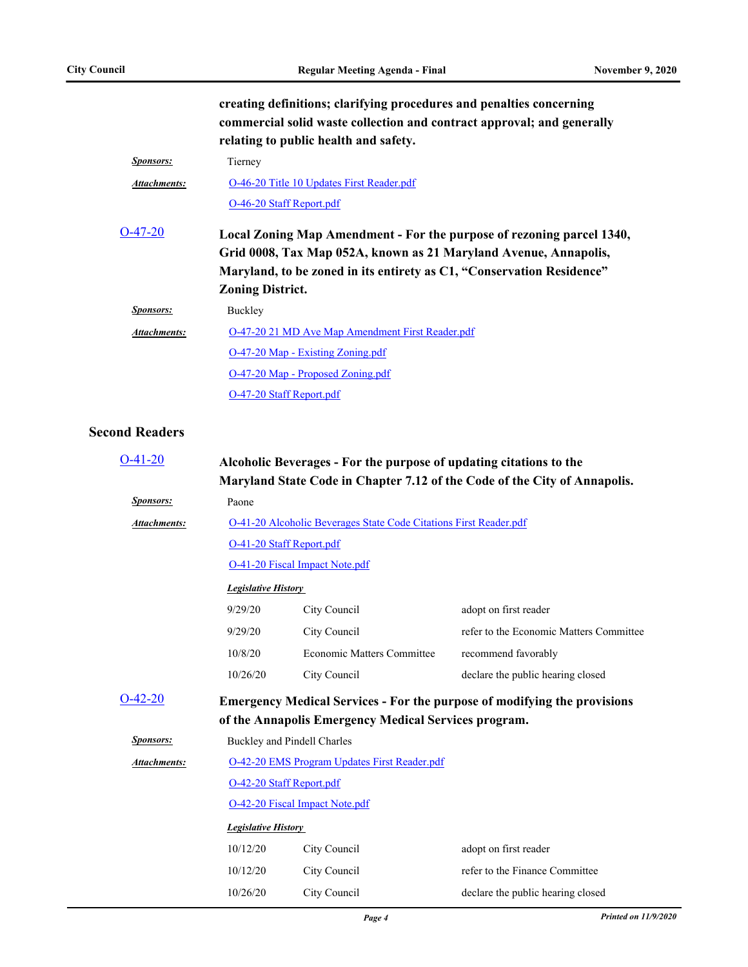**creating definitions; clarifying procedures and penalties concerning** 

|                     | commercial solid waste collection and contract approval; and generally<br>relating to public health and safety.                                                                                                    |
|---------------------|--------------------------------------------------------------------------------------------------------------------------------------------------------------------------------------------------------------------|
| <b>Sponsors:</b>    | Tierney                                                                                                                                                                                                            |
| <b>Attachments:</b> | O-46-20 Title 10 Updates First Reader.pdf                                                                                                                                                                          |
|                     | O-46-20 Staff Report.pdf                                                                                                                                                                                           |
| $O-47-20$           | Local Zoning Map Amendment - For the purpose of rezoning parcel 1340,<br>Grid 0008, Tax Map 052A, known as 21 Maryland Avenue, Annapolis,<br>Maryland, to be zoned in its entirety as C1, "Conservation Residence" |
|                     | <b>Zoning District.</b>                                                                                                                                                                                            |
| <b>Sponsors:</b>    | Buckley                                                                                                                                                                                                            |
| <b>Attachments:</b> | O-47-20 21 MD Ave Map Amendment First Reader.pdf                                                                                                                                                                   |
|                     | O-47-20 Map - Existing Zoning.pdf                                                                                                                                                                                  |
|                     | O-47-20 Map - Proposed Zoning.pdf                                                                                                                                                                                  |
|                     | O-47-20 Staff Report.pdf                                                                                                                                                                                           |

#### **Second Readers**

| $O-41-20$           | Alcoholic Beverages - For the purpose of updating citations to the<br>Maryland State Code in Chapter 7.12 of the Code of the City of Annapolis. |                                                                   |                                         |  |
|---------------------|-------------------------------------------------------------------------------------------------------------------------------------------------|-------------------------------------------------------------------|-----------------------------------------|--|
| <b>Sponsors:</b>    | Paone                                                                                                                                           |                                                                   |                                         |  |
| <b>Attachments:</b> |                                                                                                                                                 | O-41-20 Alcoholic Beverages State Code Citations First Reader.pdf |                                         |  |
|                     | O-41-20 Staff Report.pdf                                                                                                                        |                                                                   |                                         |  |
|                     |                                                                                                                                                 | <b>O-41-20 Fiscal Impact Note.pdf</b>                             |                                         |  |
|                     | <b>Legislative History</b>                                                                                                                      |                                                                   |                                         |  |
|                     | 9/29/20                                                                                                                                         | City Council                                                      | adopt on first reader                   |  |
|                     | 9/29/20                                                                                                                                         | City Council                                                      | refer to the Economic Matters Committee |  |
|                     | 10/8/20                                                                                                                                         | <b>Economic Matters Committee</b>                                 | recommend favorably                     |  |
|                     | 10/26/20                                                                                                                                        | City Council                                                      | declare the public hearing closed       |  |
| $O-42-20$           | <b>Emergency Medical Services - For the purpose of modifying the provisions</b>                                                                 |                                                                   |                                         |  |
|                     | of the Annapolis Emergency Medical Services program.                                                                                            |                                                                   |                                         |  |
| <b>Sponsors:</b>    | Buckley and Pindell Charles                                                                                                                     |                                                                   |                                         |  |
| Attachments:        | <b>O-42-20 EMS Program Updates First Reader.pdf</b>                                                                                             |                                                                   |                                         |  |
|                     | O-42-20 Staff Report.pdf                                                                                                                        |                                                                   |                                         |  |
|                     | O-42-20 Fiscal Impact Note.pdf                                                                                                                  |                                                                   |                                         |  |
|                     | <b>Legislative History</b>                                                                                                                      |                                                                   |                                         |  |
|                     | 10/12/20                                                                                                                                        | City Council                                                      | adopt on first reader                   |  |
|                     | 10/12/20                                                                                                                                        | City Council                                                      | refer to the Finance Committee          |  |
|                     | 10/26/20                                                                                                                                        | City Council                                                      | declare the public hearing closed       |  |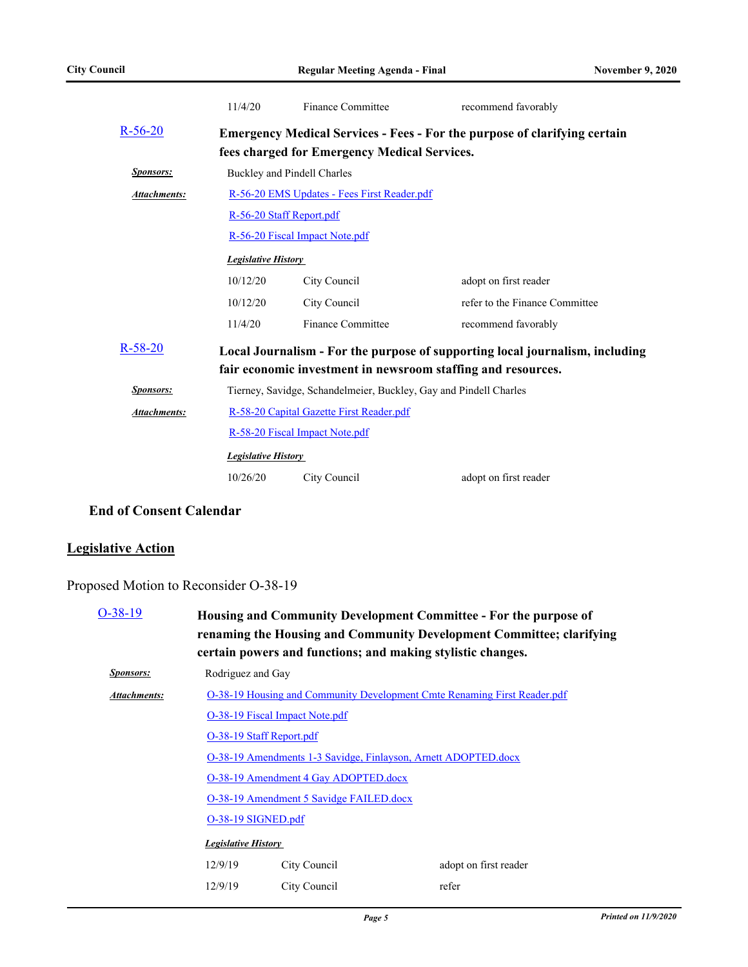|                     | 11/4/20                                                                          | Finance Committee                                                 | recommend favorably                                                          |  |
|---------------------|----------------------------------------------------------------------------------|-------------------------------------------------------------------|------------------------------------------------------------------------------|--|
| $R - 56 - 20$       | <b>Emergency Medical Services - Fees - For the purpose of clarifying certain</b> |                                                                   |                                                                              |  |
|                     |                                                                                  | fees charged for Emergency Medical Services.                      |                                                                              |  |
| <b>Sponsors:</b>    | Buckley and Pindell Charles                                                      |                                                                   |                                                                              |  |
| <b>Attachments:</b> | R-56-20 EMS Updates - Fees First Reader.pdf                                      |                                                                   |                                                                              |  |
|                     |                                                                                  | R-56-20 Staff Report.pdf                                          |                                                                              |  |
|                     |                                                                                  | R-56-20 Fiscal Impact Note.pdf                                    |                                                                              |  |
|                     | <b>Legislative History</b>                                                       |                                                                   |                                                                              |  |
|                     | 10/12/20                                                                         | City Council                                                      | adopt on first reader                                                        |  |
|                     | 10/12/20<br>City Council                                                         |                                                                   | refer to the Finance Committee                                               |  |
|                     | 11/4/20                                                                          | Finance Committee                                                 | recommend favorably                                                          |  |
| $R - 58 - 20$       |                                                                                  |                                                                   | Local Journalism - For the purpose of supporting local journalism, including |  |
|                     |                                                                                  |                                                                   | fair economic investment in newsroom staffing and resources.                 |  |
| <b>Sponsors:</b>    |                                                                                  | Tierney, Savidge, Schandelmeier, Buckley, Gay and Pindell Charles |                                                                              |  |
| Attachments:        | R-58-20 Capital Gazette First Reader.pdf                                         |                                                                   |                                                                              |  |
|                     | R-58-20 Fiscal Impact Note.pdf                                                   |                                                                   |                                                                              |  |
|                     | <b>Legislative History</b>                                                       |                                                                   |                                                                              |  |
|                     | 10/26/20                                                                         | City Council                                                      | adopt on first reader                                                        |  |

#### **End of Consent Calendar**

#### **Legislative Action**

#### Proposed Motion to Reconsider O-38-19

| $O-38-19$           | Housing and Community Development Committee - For the purpose of<br>renaming the Housing and Community Development Committee; clarifying<br>certain powers and functions; and making stylistic changes. |                                                                          |                       |  |
|---------------------|---------------------------------------------------------------------------------------------------------------------------------------------------------------------------------------------------------|--------------------------------------------------------------------------|-----------------------|--|
| <b>Sponsors:</b>    |                                                                                                                                                                                                         | Rodriguez and Gay                                                        |                       |  |
| <b>Attachments:</b> |                                                                                                                                                                                                         | O-38-19 Housing and Community Development Cmte Renaming First Reader.pdf |                       |  |
|                     |                                                                                                                                                                                                         | O-38-19 Fiscal Impact Note.pdf                                           |                       |  |
|                     | O-38-19 Staff Report.pdf                                                                                                                                                                                |                                                                          |                       |  |
|                     |                                                                                                                                                                                                         | O-38-19 Amendments 1-3 Savidge, Finlayson, Arnett ADOPTED.docx           |                       |  |
|                     |                                                                                                                                                                                                         | O-38-19 Amendment 4 Gay ADOPTED.docx                                     |                       |  |
|                     | O-38-19 Amendment 5 Savidge FAILED.docx                                                                                                                                                                 |                                                                          |                       |  |
|                     | O-38-19 SIGNED.pdf                                                                                                                                                                                      |                                                                          |                       |  |
|                     | <b>Legislative History</b>                                                                                                                                                                              |                                                                          |                       |  |
|                     | 12/9/19<br>City Council                                                                                                                                                                                 |                                                                          | adopt on first reader |  |
|                     | 12/9/19                                                                                                                                                                                                 | refer                                                                    |                       |  |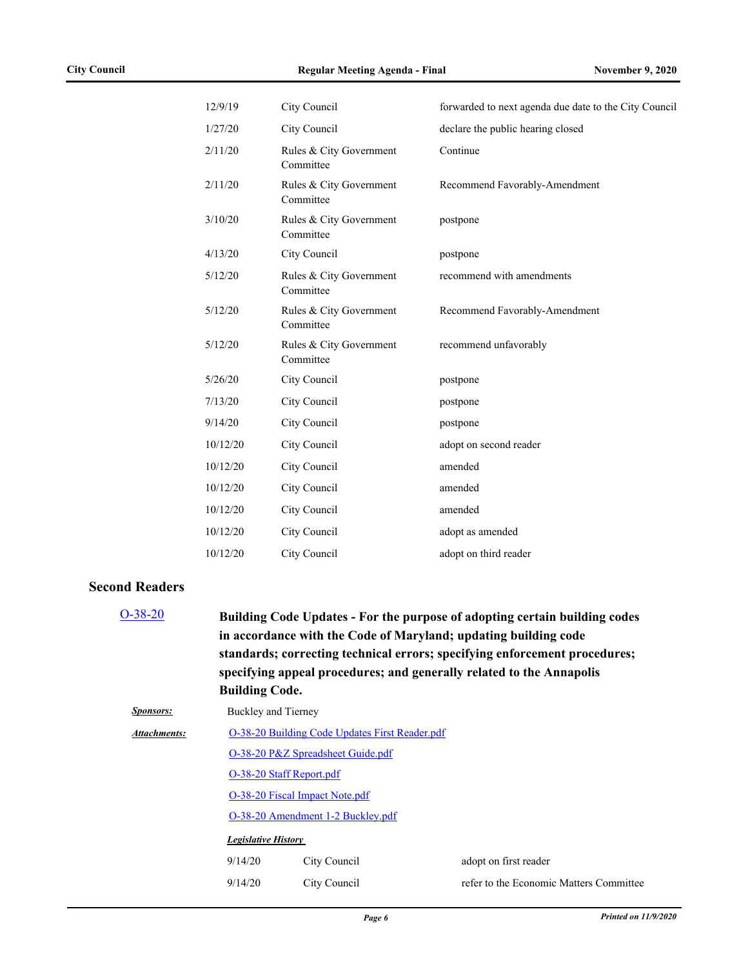| 12/9/19  | City Council                         | forwarded to next agenda due date to the City Council |
|----------|--------------------------------------|-------------------------------------------------------|
| 1/27/20  | City Council                         | declare the public hearing closed                     |
| 2/11/20  | Rules & City Government<br>Committee | Continue                                              |
| 2/11/20  | Rules & City Government<br>Committee | Recommend Favorably-Amendment                         |
| 3/10/20  | Rules & City Government<br>Committee | postpone                                              |
| 4/13/20  | City Council                         | postpone                                              |
| 5/12/20  | Rules & City Government<br>Committee | recommend with amendments                             |
| 5/12/20  | Rules & City Government<br>Committee | Recommend Favorably-Amendment                         |
| 5/12/20  | Rules & City Government<br>Committee | recommend unfavorably                                 |
| 5/26/20  | City Council                         | postpone                                              |
| 7/13/20  | City Council                         | postpone                                              |
| 9/14/20  | City Council                         | postpone                                              |
| 10/12/20 | City Council                         | adopt on second reader                                |
| 10/12/20 | City Council                         | amended                                               |
| 10/12/20 | City Council                         | amended                                               |
| 10/12/20 | City Council                         | amended                                               |
| 10/12/20 | City Council                         | adopt as amended                                      |
| 10/12/20 | City Council                         | adopt on third reader                                 |
|          |                                      |                                                       |

#### **Second Readers**

| $O-38-20$<br>Building Code Updates - For the purpose of adopting certain building codes<br>in accordance with the Code of Maryland; updating building code<br>standards; correcting technical errors; specifying enforcement procedures;<br>specifying appeal procedures; and generally related to the Annapolis<br><b>Building Code.</b> |                                                |              |                                         |
|-------------------------------------------------------------------------------------------------------------------------------------------------------------------------------------------------------------------------------------------------------------------------------------------------------------------------------------------|------------------------------------------------|--------------|-----------------------------------------|
| <b>Sponsors:</b>                                                                                                                                                                                                                                                                                                                          | Buckley and Tierney                            |              |                                         |
| <b>Attachments:</b>                                                                                                                                                                                                                                                                                                                       | O-38-20 Building Code Updates First Reader.pdf |              |                                         |
|                                                                                                                                                                                                                                                                                                                                           | O-38-20 P&Z Spreadsheet Guide.pdf              |              |                                         |
|                                                                                                                                                                                                                                                                                                                                           | O-38-20 Staff Report.pdf                       |              |                                         |
|                                                                                                                                                                                                                                                                                                                                           | O-38-20 Fiscal Impact Note.pdf                 |              |                                         |
|                                                                                                                                                                                                                                                                                                                                           | O-38-20 Amendment 1-2 Buckley.pdf              |              |                                         |
|                                                                                                                                                                                                                                                                                                                                           | <b>Legislative History</b>                     |              |                                         |
|                                                                                                                                                                                                                                                                                                                                           | 9/14/20                                        | City Council | adopt on first reader                   |
|                                                                                                                                                                                                                                                                                                                                           | 9/14/20                                        | City Council | refer to the Economic Matters Committee |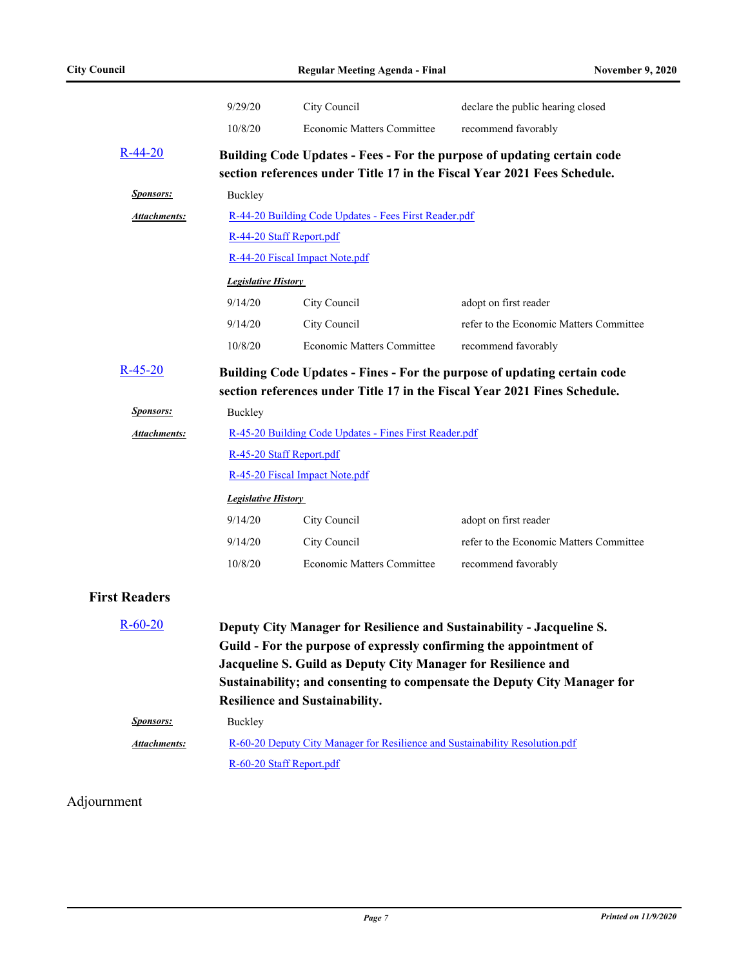|                      | 9/29/20                        | City Council                                                                                                                                                                                                                                          | declare the public hearing closed                                                                                                                     |  |
|----------------------|--------------------------------|-------------------------------------------------------------------------------------------------------------------------------------------------------------------------------------------------------------------------------------------------------|-------------------------------------------------------------------------------------------------------------------------------------------------------|--|
|                      | 10/8/20                        | Economic Matters Committee                                                                                                                                                                                                                            | recommend favorably                                                                                                                                   |  |
| $R-44-20$            |                                | section references under Title 17 in the Fiscal Year 2021 Fees Schedule.                                                                                                                                                                              | Building Code Updates - Fees - For the purpose of updating certain code                                                                               |  |
| <b>Sponsors:</b>     | Buckley                        |                                                                                                                                                                                                                                                       |                                                                                                                                                       |  |
| <b>Attachments:</b>  |                                | R-44-20 Building Code Updates - Fees First Reader.pdf                                                                                                                                                                                                 |                                                                                                                                                       |  |
|                      | R-44-20 Staff Report.pdf       |                                                                                                                                                                                                                                                       |                                                                                                                                                       |  |
|                      |                                | R-44-20 Fiscal Impact Note.pdf                                                                                                                                                                                                                        |                                                                                                                                                       |  |
|                      | <b>Legislative History</b>     |                                                                                                                                                                                                                                                       |                                                                                                                                                       |  |
|                      | 9/14/20                        | City Council                                                                                                                                                                                                                                          | adopt on first reader                                                                                                                                 |  |
|                      | 9/14/20                        | City Council                                                                                                                                                                                                                                          | refer to the Economic Matters Committee                                                                                                               |  |
|                      | 10/8/20                        | <b>Economic Matters Committee</b>                                                                                                                                                                                                                     | recommend favorably                                                                                                                                   |  |
| $R-45-20$            |                                |                                                                                                                                                                                                                                                       | Building Code Updates - Fines - For the purpose of updating certain code<br>section references under Title 17 in the Fiscal Year 2021 Fines Schedule. |  |
| <b>Sponsors:</b>     | Buckley                        |                                                                                                                                                                                                                                                       |                                                                                                                                                       |  |
| <b>Attachments:</b>  |                                | R-45-20 Building Code Updates - Fines First Reader.pdf                                                                                                                                                                                                |                                                                                                                                                       |  |
|                      | R-45-20 Staff Report.pdf       |                                                                                                                                                                                                                                                       |                                                                                                                                                       |  |
|                      | R-45-20 Fiscal Impact Note.pdf |                                                                                                                                                                                                                                                       |                                                                                                                                                       |  |
|                      | <b>Legislative History</b>     |                                                                                                                                                                                                                                                       |                                                                                                                                                       |  |
|                      | 9/14/20                        | City Council                                                                                                                                                                                                                                          | adopt on first reader                                                                                                                                 |  |
|                      | 9/14/20                        | City Council                                                                                                                                                                                                                                          | refer to the Economic Matters Committee                                                                                                               |  |
|                      | 10/8/20                        | <b>Economic Matters Committee</b>                                                                                                                                                                                                                     | recommend favorably                                                                                                                                   |  |
| <b>First Readers</b> |                                |                                                                                                                                                                                                                                                       |                                                                                                                                                       |  |
| $R-60-20$            |                                | Deputy City Manager for Resilience and Sustainability - Jacqueline S.<br>Guild - For the purpose of expressly confirming the appointment of<br>Jacqueline S. Guild as Deputy City Manager for Resilience and<br><b>Resilience and Sustainability.</b> | Sustainability; and consenting to compensate the Deputy City Manager for                                                                              |  |
| <b>Sponsors:</b>     | Buckley                        |                                                                                                                                                                                                                                                       |                                                                                                                                                       |  |
| <b>Attachments:</b>  | R-60-20 Staff Report.pdf       | R-60-20 Deputy City Manager for Resilience and Sustainability Resolution.pdf                                                                                                                                                                          |                                                                                                                                                       |  |

### Adjournment